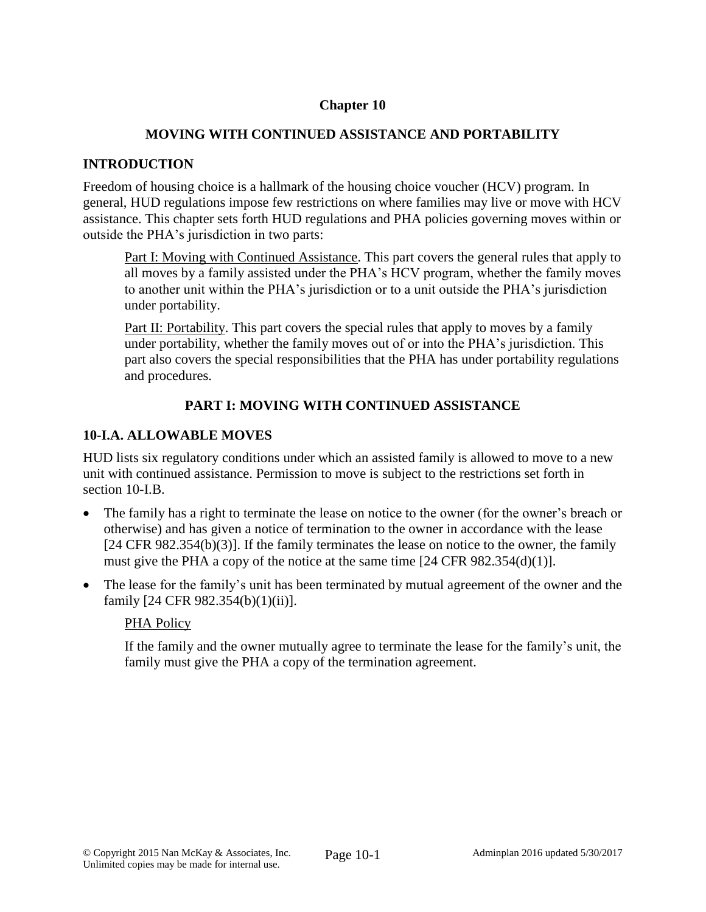# **Chapter 10**

# **MOVING WITH CONTINUED ASSISTANCE AND PORTABILITY**

# **INTRODUCTION**

Freedom of housing choice is a hallmark of the housing choice voucher (HCV) program. In general, HUD regulations impose few restrictions on where families may live or move with HCV assistance. This chapter sets forth HUD regulations and PHA policies governing moves within or outside the PHA's jurisdiction in two parts:

Part I: Moving with Continued Assistance. This part covers the general rules that apply to all moves by a family assisted under the PHA's HCV program, whether the family moves to another unit within the PHA's jurisdiction or to a unit outside the PHA's jurisdiction under portability.

Part II: Portability. This part covers the special rules that apply to moves by a family under portability, whether the family moves out of or into the PHA's jurisdiction. This part also covers the special responsibilities that the PHA has under portability regulations and procedures.

# **PART I: MOVING WITH CONTINUED ASSISTANCE**

# **10-I.A. ALLOWABLE MOVES**

HUD lists six regulatory conditions under which an assisted family is allowed to move to a new unit with continued assistance. Permission to move is subject to the restrictions set forth in section 10-I.B.

- The family has a right to terminate the lease on notice to the owner (for the owner's breach or otherwise) and has given a notice of termination to the owner in accordance with the lease [24 CFR 982.354(b)(3)]. If the family terminates the lease on notice to the owner, the family must give the PHA a copy of the notice at the same time [24 CFR 982.354(d)(1)].
- The lease for the family's unit has been terminated by mutual agreement of the owner and the family [24 CFR 982.354(b)(1)(ii)].

# PHA Policy

If the family and the owner mutually agree to terminate the lease for the family's unit, the family must give the PHA a copy of the termination agreement.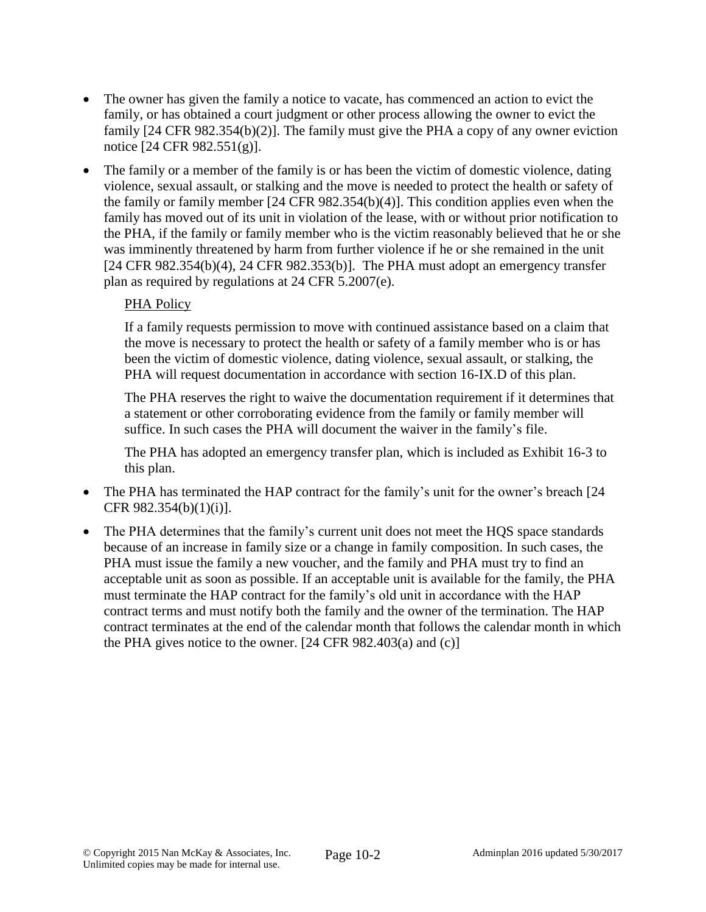- The owner has given the family a notice to vacate, has commenced an action to evict the family, or has obtained a court judgment or other process allowing the owner to evict the family [24 CFR 982.354(b)(2)]. The family must give the PHA a copy of any owner eviction notice [24 CFR 982.551(g)].
- The family or a member of the family is or has been the victim of domestic violence, dating violence, sexual assault, or stalking and the move is needed to protect the health or safety of the family or family member [24 CFR 982.354(b)(4)]. This condition applies even when the family has moved out of its unit in violation of the lease, with or without prior notification to the PHA, if the family or family member who is the victim reasonably believed that he or she was imminently threatened by harm from further violence if he or she remained in the unit [24 CFR 982.354(b)(4), 24 CFR 982.353(b)]. The PHA must adopt an emergency transfer plan as required by regulations at 24 CFR 5.2007(e).

# PHA Policy

If a family requests permission to move with continued assistance based on a claim that the move is necessary to protect the health or safety of a family member who is or has been the victim of domestic violence, dating violence, sexual assault, or stalking, the PHA will request documentation in accordance with section 16-IX.D of this plan.

The PHA reserves the right to waive the documentation requirement if it determines that a statement or other corroborating evidence from the family or family member will suffice. In such cases the PHA will document the waiver in the family's file.

The PHA has adopted an emergency transfer plan, which is included as Exhibit 16-3 to this plan.

- The PHA has terminated the HAP contract for the family's unit for the owner's breach [24] CFR 982.354(b)(1)(i)].
- The PHA determines that the family's current unit does not meet the HQS space standards because of an increase in family size or a change in family composition. In such cases, the PHA must issue the family a new voucher, and the family and PHA must try to find an acceptable unit as soon as possible. If an acceptable unit is available for the family, the PHA must terminate the HAP contract for the family's old unit in accordance with the HAP contract terms and must notify both the family and the owner of the termination. The HAP contract terminates at the end of the calendar month that follows the calendar month in which the PHA gives notice to the owner.  $[24 \text{ CFR } 982.403(a)$  and  $(c)]$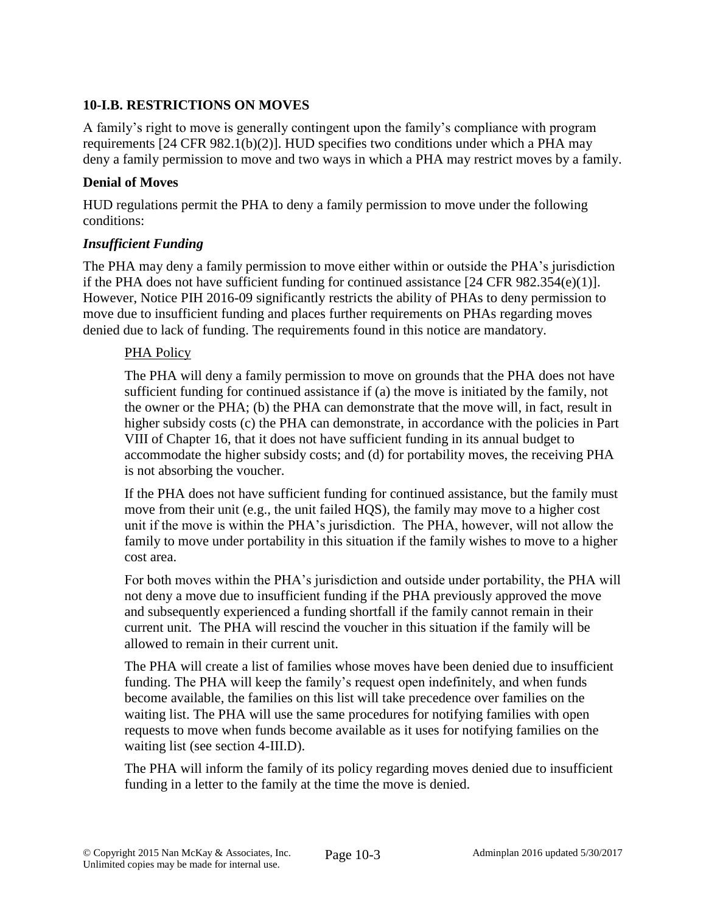# **10-I.B. RESTRICTIONS ON MOVES**

A family's right to move is generally contingent upon the family's compliance with program requirements [24 CFR 982.1(b)(2)]. HUD specifies two conditions under which a PHA may deny a family permission to move and two ways in which a PHA may restrict moves by a family.

# **Denial of Moves**

HUD regulations permit the PHA to deny a family permission to move under the following conditions:

# *Insufficient Funding*

The PHA may deny a family permission to move either within or outside the PHA's jurisdiction if the PHA does not have sufficient funding for continued assistance [24 CFR 982.354(e)(1)]. However, Notice PIH 2016-09 significantly restricts the ability of PHAs to deny permission to move due to insufficient funding and places further requirements on PHAs regarding moves denied due to lack of funding. The requirements found in this notice are mandatory.

# PHA Policy

The PHA will deny a family permission to move on grounds that the PHA does not have sufficient funding for continued assistance if (a) the move is initiated by the family, not the owner or the PHA; (b) the PHA can demonstrate that the move will, in fact, result in higher subsidy costs (c) the PHA can demonstrate, in accordance with the policies in Part VIII of Chapter 16, that it does not have sufficient funding in its annual budget to accommodate the higher subsidy costs; and (d) for portability moves, the receiving PHA is not absorbing the voucher.

If the PHA does not have sufficient funding for continued assistance, but the family must move from their unit (e.g., the unit failed HQS), the family may move to a higher cost unit if the move is within the PHA's jurisdiction. The PHA, however, will not allow the family to move under portability in this situation if the family wishes to move to a higher cost area.

For both moves within the PHA's jurisdiction and outside under portability, the PHA will not deny a move due to insufficient funding if the PHA previously approved the move and subsequently experienced a funding shortfall if the family cannot remain in their current unit. The PHA will rescind the voucher in this situation if the family will be allowed to remain in their current unit.

The PHA will create a list of families whose moves have been denied due to insufficient funding. The PHA will keep the family's request open indefinitely, and when funds become available, the families on this list will take precedence over families on the waiting list. The PHA will use the same procedures for notifying families with open requests to move when funds become available as it uses for notifying families on the waiting list (see section 4-III.D).

The PHA will inform the family of its policy regarding moves denied due to insufficient funding in a letter to the family at the time the move is denied.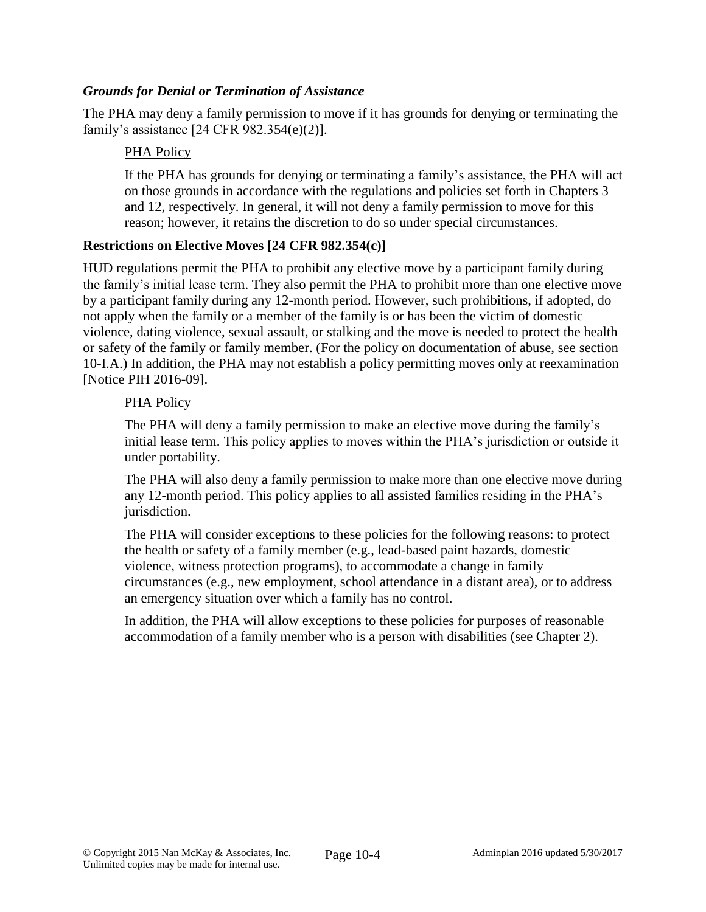### *Grounds for Denial or Termination of Assistance*

The PHA may deny a family permission to move if it has grounds for denying or terminating the family's assistance [24 CFR 982.354(e)(2)].

### PHA Policy

If the PHA has grounds for denying or terminating a family's assistance, the PHA will act on those grounds in accordance with the regulations and policies set forth in Chapters 3 and 12, respectively. In general, it will not deny a family permission to move for this reason; however, it retains the discretion to do so under special circumstances.

### **Restrictions on Elective Moves [24 CFR 982.354(c)]**

HUD regulations permit the PHA to prohibit any elective move by a participant family during the family's initial lease term. They also permit the PHA to prohibit more than one elective move by a participant family during any 12-month period. However, such prohibitions, if adopted, do not apply when the family or a member of the family is or has been the victim of domestic violence, dating violence, sexual assault, or stalking and the move is needed to protect the health or safety of the family or family member. (For the policy on documentation of abuse, see section 10-I.A.) In addition, the PHA may not establish a policy permitting moves only at reexamination [Notice PIH 2016-09].

#### PHA Policy

The PHA will deny a family permission to make an elective move during the family's initial lease term. This policy applies to moves within the PHA's jurisdiction or outside it under portability.

The PHA will also deny a family permission to make more than one elective move during any 12-month period. This policy applies to all assisted families residing in the PHA's jurisdiction.

The PHA will consider exceptions to these policies for the following reasons: to protect the health or safety of a family member (e.g., lead-based paint hazards, domestic violence, witness protection programs), to accommodate a change in family circumstances (e.g., new employment, school attendance in a distant area), or to address an emergency situation over which a family has no control.

In addition, the PHA will allow exceptions to these policies for purposes of reasonable accommodation of a family member who is a person with disabilities (see Chapter 2).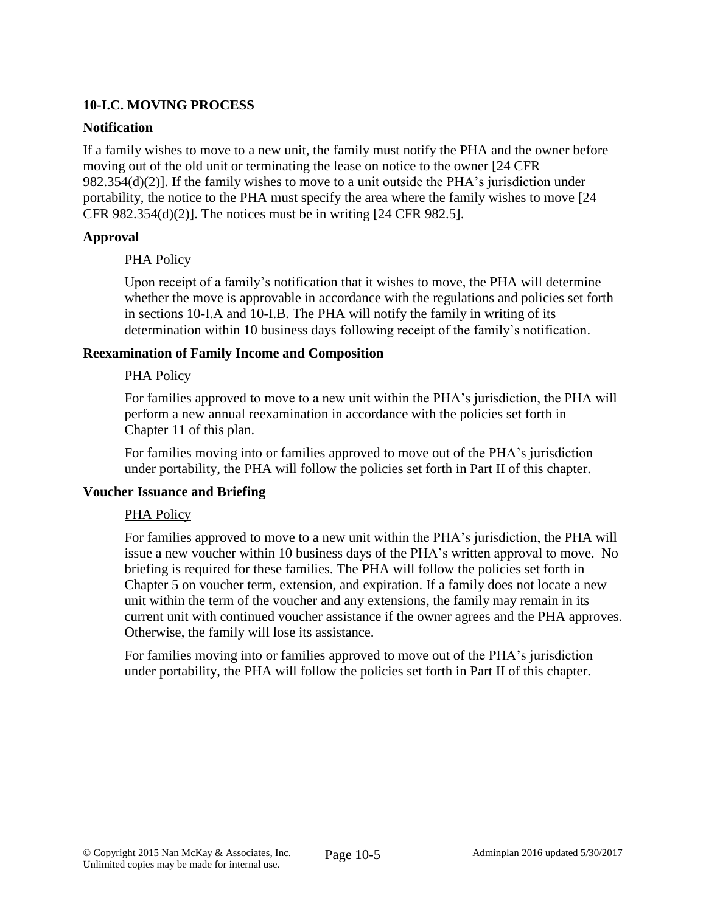# **10-I.C. MOVING PROCESS**

### **Notification**

If a family wishes to move to a new unit, the family must notify the PHA and the owner before moving out of the old unit or terminating the lease on notice to the owner [24 CFR 982.354(d)(2)]. If the family wishes to move to a unit outside the PHA's jurisdiction under portability, the notice to the PHA must specify the area where the family wishes to move [24 CFR 982.354(d)(2)]. The notices must be in writing [24 CFR 982.5].

# **Approval**

# PHA Policy

Upon receipt of a family's notification that it wishes to move, the PHA will determine whether the move is approvable in accordance with the regulations and policies set forth in sections 10-I.A and 10-I.B. The PHA will notify the family in writing of its determination within 10 business days following receipt of the family's notification.

### **Reexamination of Family Income and Composition**

### PHA Policy

For families approved to move to a new unit within the PHA's jurisdiction, the PHA will perform a new annual reexamination in accordance with the policies set forth in Chapter 11 of this plan.

For families moving into or families approved to move out of the PHA's jurisdiction under portability, the PHA will follow the policies set forth in Part II of this chapter.

#### **Voucher Issuance and Briefing**

# PHA Policy

For families approved to move to a new unit within the PHA's jurisdiction, the PHA will issue a new voucher within 10 business days of the PHA's written approval to move. No briefing is required for these families. The PHA will follow the policies set forth in Chapter 5 on voucher term, extension, and expiration. If a family does not locate a new unit within the term of the voucher and any extensions, the family may remain in its current unit with continued voucher assistance if the owner agrees and the PHA approves. Otherwise, the family will lose its assistance.

For families moving into or families approved to move out of the PHA's jurisdiction under portability, the PHA will follow the policies set forth in Part II of this chapter.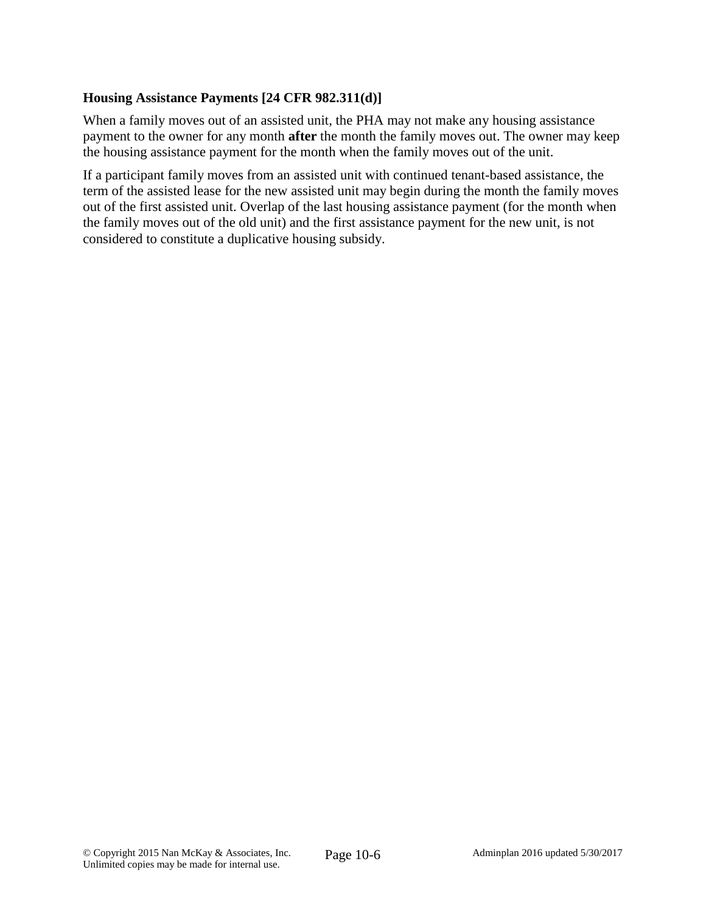## **Housing Assistance Payments [24 CFR 982.311(d)]**

When a family moves out of an assisted unit, the PHA may not make any housing assistance payment to the owner for any month **after** the month the family moves out. The owner may keep the housing assistance payment for the month when the family moves out of the unit.

If a participant family moves from an assisted unit with continued tenant-based assistance, the term of the assisted lease for the new assisted unit may begin during the month the family moves out of the first assisted unit. Overlap of the last housing assistance payment (for the month when the family moves out of the old unit) and the first assistance payment for the new unit, is not considered to constitute a duplicative housing subsidy.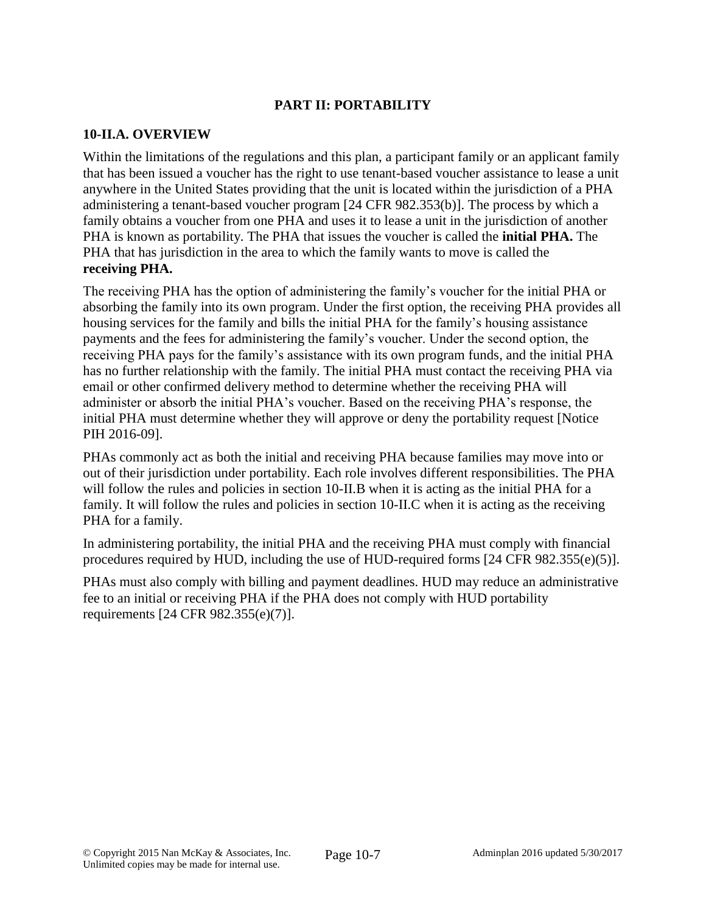# **PART II: PORTABILITY**

### **10-II.A. OVERVIEW**

Within the limitations of the regulations and this plan, a participant family or an applicant family that has been issued a voucher has the right to use tenant-based voucher assistance to lease a unit anywhere in the United States providing that the unit is located within the jurisdiction of a PHA administering a tenant-based voucher program [24 CFR 982.353(b)]. The process by which a family obtains a voucher from one PHA and uses it to lease a unit in the jurisdiction of another PHA is known as portability. The PHA that issues the voucher is called the **initial PHA.** The PHA that has jurisdiction in the area to which the family wants to move is called the **receiving PHA.**

The receiving PHA has the option of administering the family's voucher for the initial PHA or absorbing the family into its own program. Under the first option, the receiving PHA provides all housing services for the family and bills the initial PHA for the family's housing assistance payments and the fees for administering the family's voucher. Under the second option, the receiving PHA pays for the family's assistance with its own program funds, and the initial PHA has no further relationship with the family. The initial PHA must contact the receiving PHA via email or other confirmed delivery method to determine whether the receiving PHA will administer or absorb the initial PHA's voucher. Based on the receiving PHA's response, the initial PHA must determine whether they will approve or deny the portability request [Notice PIH 2016-09].

PHAs commonly act as both the initial and receiving PHA because families may move into or out of their jurisdiction under portability. Each role involves different responsibilities. The PHA will follow the rules and policies in section 10-II.B when it is acting as the initial PHA for a family. It will follow the rules and policies in section 10-II.C when it is acting as the receiving PHA for a family.

In administering portability, the initial PHA and the receiving PHA must comply with financial procedures required by HUD, including the use of HUD-required forms [24 CFR 982.355(e)(5)].

PHAs must also comply with billing and payment deadlines. HUD may reduce an administrative fee to an initial or receiving PHA if the PHA does not comply with HUD portability requirements [24 CFR 982.355(e)(7)].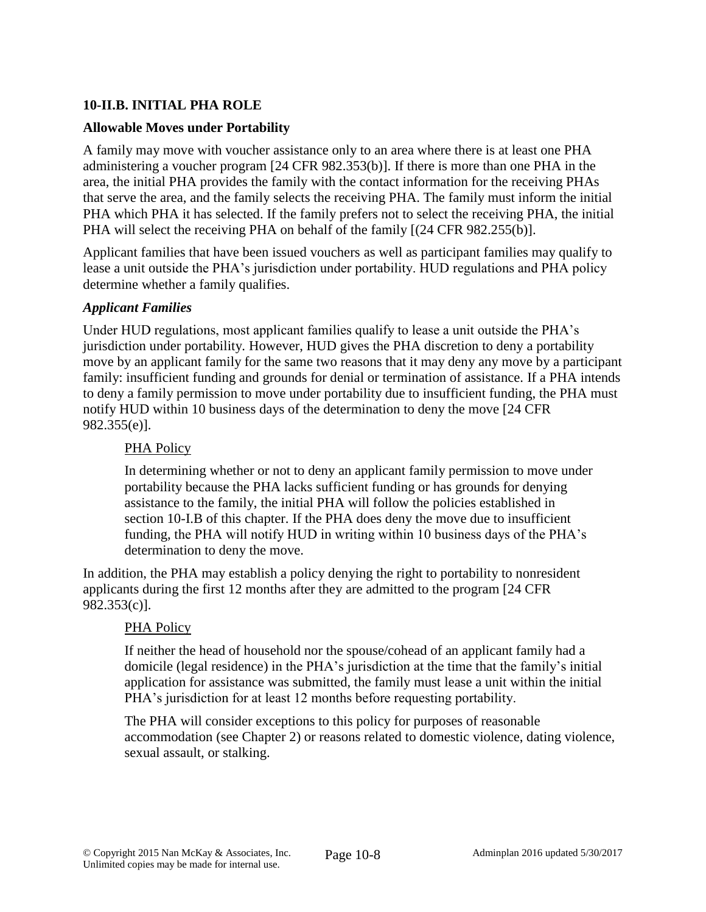# **10-II.B. INITIAL PHA ROLE**

### **Allowable Moves under Portability**

A family may move with voucher assistance only to an area where there is at least one PHA administering a voucher program [24 CFR 982.353(b)]. If there is more than one PHA in the area, the initial PHA provides the family with the contact information for the receiving PHAs that serve the area, and the family selects the receiving PHA. The family must inform the initial PHA which PHA it has selected. If the family prefers not to select the receiving PHA, the initial PHA will select the receiving PHA on behalf of the family [(24 CFR 982.255(b)].

Applicant families that have been issued vouchers as well as participant families may qualify to lease a unit outside the PHA's jurisdiction under portability. HUD regulations and PHA policy determine whether a family qualifies.

#### *Applicant Families*

Under HUD regulations, most applicant families qualify to lease a unit outside the PHA's jurisdiction under portability. However, HUD gives the PHA discretion to deny a portability move by an applicant family for the same two reasons that it may deny any move by a participant family: insufficient funding and grounds for denial or termination of assistance. If a PHA intends to deny a family permission to move under portability due to insufficient funding, the PHA must notify HUD within 10 business days of the determination to deny the move [24 CFR 982.355(e)].

# PHA Policy

In determining whether or not to deny an applicant family permission to move under portability because the PHA lacks sufficient funding or has grounds for denying assistance to the family, the initial PHA will follow the policies established in section 10-I.B of this chapter. If the PHA does deny the move due to insufficient funding, the PHA will notify HUD in writing within 10 business days of the PHA's determination to deny the move.

In addition, the PHA may establish a policy denying the right to portability to nonresident applicants during the first 12 months after they are admitted to the program [24 CFR 982.353(c)].

#### PHA Policy

If neither the head of household nor the spouse/cohead of an applicant family had a domicile (legal residence) in the PHA's jurisdiction at the time that the family's initial application for assistance was submitted, the family must lease a unit within the initial PHA's jurisdiction for at least 12 months before requesting portability.

The PHA will consider exceptions to this policy for purposes of reasonable accommodation (see Chapter 2) or reasons related to domestic violence, dating violence, sexual assault, or stalking.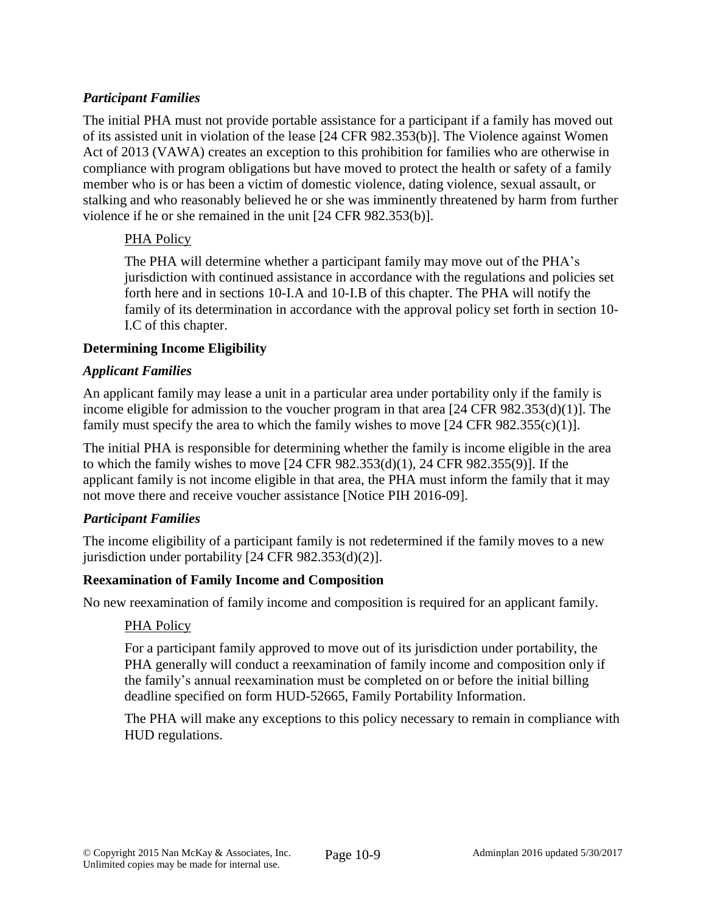# *Participant Families*

The initial PHA must not provide portable assistance for a participant if a family has moved out of its assisted unit in violation of the lease [24 CFR 982.353(b)]. The Violence against Women Act of 2013 (VAWA) creates an exception to this prohibition for families who are otherwise in compliance with program obligations but have moved to protect the health or safety of a family member who is or has been a victim of domestic violence, dating violence, sexual assault, or stalking and who reasonably believed he or she was imminently threatened by harm from further violence if he or she remained in the unit [24 CFR 982.353(b)].

# PHA Policy

The PHA will determine whether a participant family may move out of the PHA's jurisdiction with continued assistance in accordance with the regulations and policies set forth here and in sections 10-I.A and 10-I.B of this chapter. The PHA will notify the family of its determination in accordance with the approval policy set forth in section 10- I.C of this chapter.

# **Determining Income Eligibility**

### *Applicant Families*

An applicant family may lease a unit in a particular area under portability only if the family is income eligible for admission to the voucher program in that area [24 CFR 982.353(d)(1)]. The family must specify the area to which the family wishes to move  $[24 \text{ CFR } 982.355(c)(1)].$ 

The initial PHA is responsible for determining whether the family is income eligible in the area to which the family wishes to move [24 CFR 982.353(d)(1), 24 CFR 982.355(9)]. If the applicant family is not income eligible in that area, the PHA must inform the family that it may not move there and receive voucher assistance [Notice PIH 2016-09].

# *Participant Families*

The income eligibility of a participant family is not redetermined if the family moves to a new jurisdiction under portability [24 CFR 982.353(d)(2)].

# **Reexamination of Family Income and Composition**

No new reexamination of family income and composition is required for an applicant family.

#### PHA Policy

For a participant family approved to move out of its jurisdiction under portability, the PHA generally will conduct a reexamination of family income and composition only if the family's annual reexamination must be completed on or before the initial billing deadline specified on form HUD-52665, Family Portability Information.

The PHA will make any exceptions to this policy necessary to remain in compliance with HUD regulations.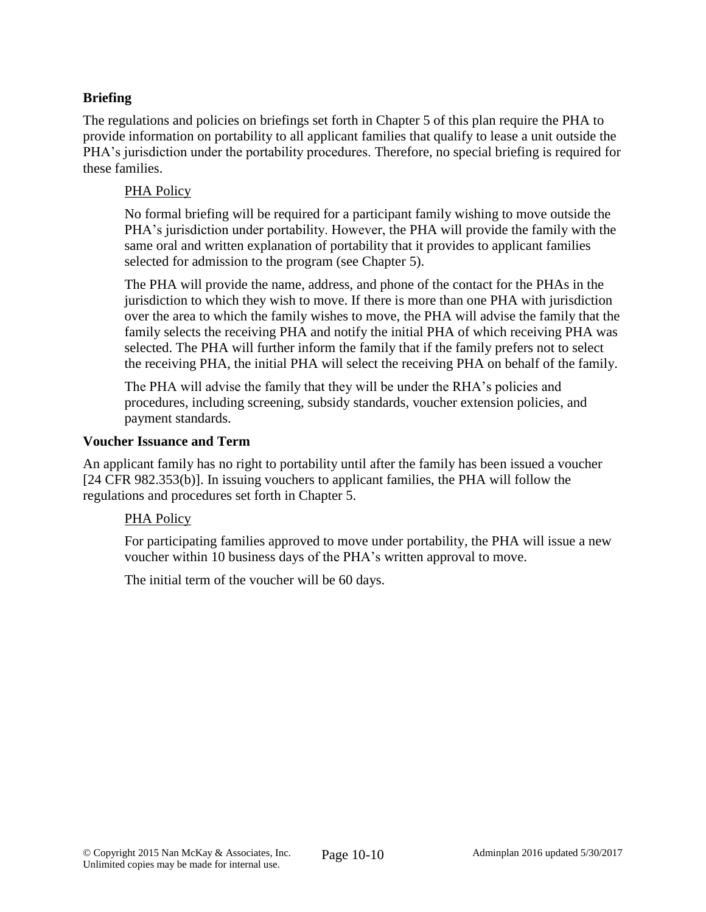# **Briefing**

The regulations and policies on briefings set forth in Chapter 5 of this plan require the PHA to provide information on portability to all applicant families that qualify to lease a unit outside the PHA's jurisdiction under the portability procedures. Therefore, no special briefing is required for these families.

### PHA Policy

No formal briefing will be required for a participant family wishing to move outside the PHA's jurisdiction under portability. However, the PHA will provide the family with the same oral and written explanation of portability that it provides to applicant families selected for admission to the program (see Chapter 5).

The PHA will provide the name, address, and phone of the contact for the PHAs in the jurisdiction to which they wish to move. If there is more than one PHA with jurisdiction over the area to which the family wishes to move, the PHA will advise the family that the family selects the receiving PHA and notify the initial PHA of which receiving PHA was selected. The PHA will further inform the family that if the family prefers not to select the receiving PHA, the initial PHA will select the receiving PHA on behalf of the family.

The PHA will advise the family that they will be under the RHA's policies and procedures, including screening, subsidy standards, voucher extension policies, and payment standards.

#### **Voucher Issuance and Term**

An applicant family has no right to portability until after the family has been issued a voucher [24 CFR 982.353(b)]. In issuing vouchers to applicant families, the PHA will follow the regulations and procedures set forth in Chapter 5.

#### PHA Policy

For participating families approved to move under portability, the PHA will issue a new voucher within 10 business days of the PHA's written approval to move.

The initial term of the voucher will be 60 days.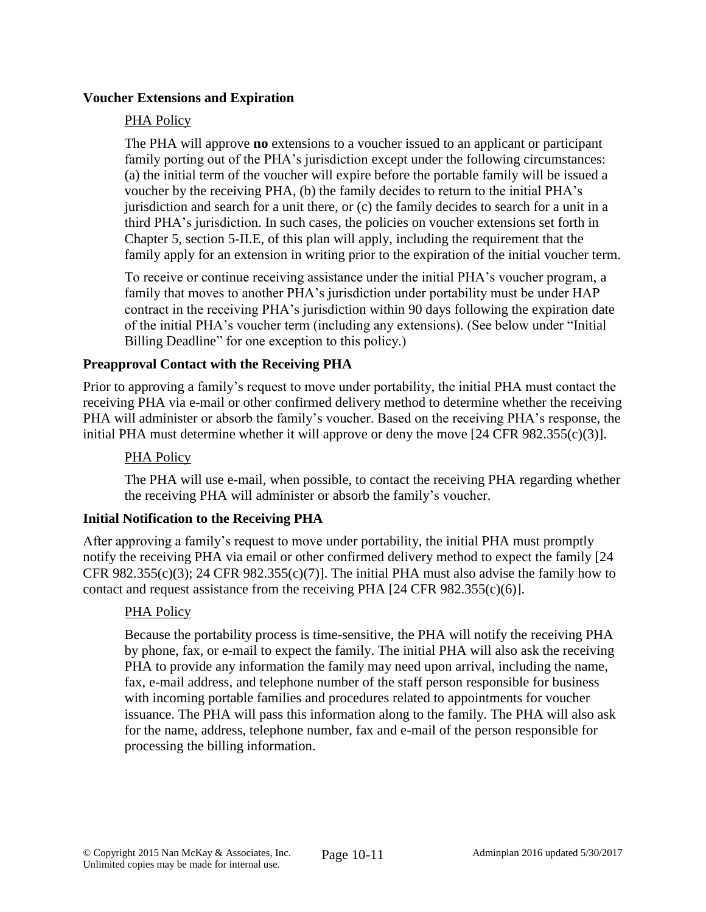### **Voucher Extensions and Expiration**

### PHA Policy

The PHA will approve **no** extensions to a voucher issued to an applicant or participant family porting out of the PHA's jurisdiction except under the following circumstances: (a) the initial term of the voucher will expire before the portable family will be issued a voucher by the receiving PHA, (b) the family decides to return to the initial PHA's jurisdiction and search for a unit there, or (c) the family decides to search for a unit in a third PHA's jurisdiction. In such cases, the policies on voucher extensions set forth in Chapter 5, section 5-II.E, of this plan will apply, including the requirement that the family apply for an extension in writing prior to the expiration of the initial voucher term.

To receive or continue receiving assistance under the initial PHA's voucher program, a family that moves to another PHA's jurisdiction under portability must be under HAP contract in the receiving PHA's jurisdiction within 90 days following the expiration date of the initial PHA's voucher term (including any extensions). (See below under "Initial Billing Deadline" for one exception to this policy.)

### **Preapproval Contact with the Receiving PHA**

Prior to approving a family's request to move under portability, the initial PHA must contact the receiving PHA via e-mail or other confirmed delivery method to determine whether the receiving PHA will administer or absorb the family's voucher. Based on the receiving PHA's response, the initial PHA must determine whether it will approve or deny the move  $[24 \text{ CFR } 982.355(c)(3)]$ .

#### PHA Policy

The PHA will use e-mail, when possible, to contact the receiving PHA regarding whether the receiving PHA will administer or absorb the family's voucher.

#### **Initial Notification to the Receiving PHA**

After approving a family's request to move under portability, the initial PHA must promptly notify the receiving PHA via email or other confirmed delivery method to expect the family [24 CFR 982.355(c)(3); 24 CFR 982.355(c)(7)]. The initial PHA must also advise the family how to contact and request assistance from the receiving PHA [24 CFR 982.355(c)(6)].

#### PHA Policy

Because the portability process is time-sensitive, the PHA will notify the receiving PHA by phone, fax, or e-mail to expect the family. The initial PHA will also ask the receiving PHA to provide any information the family may need upon arrival, including the name, fax, e-mail address, and telephone number of the staff person responsible for business with incoming portable families and procedures related to appointments for voucher issuance. The PHA will pass this information along to the family. The PHA will also ask for the name, address, telephone number, fax and e-mail of the person responsible for processing the billing information.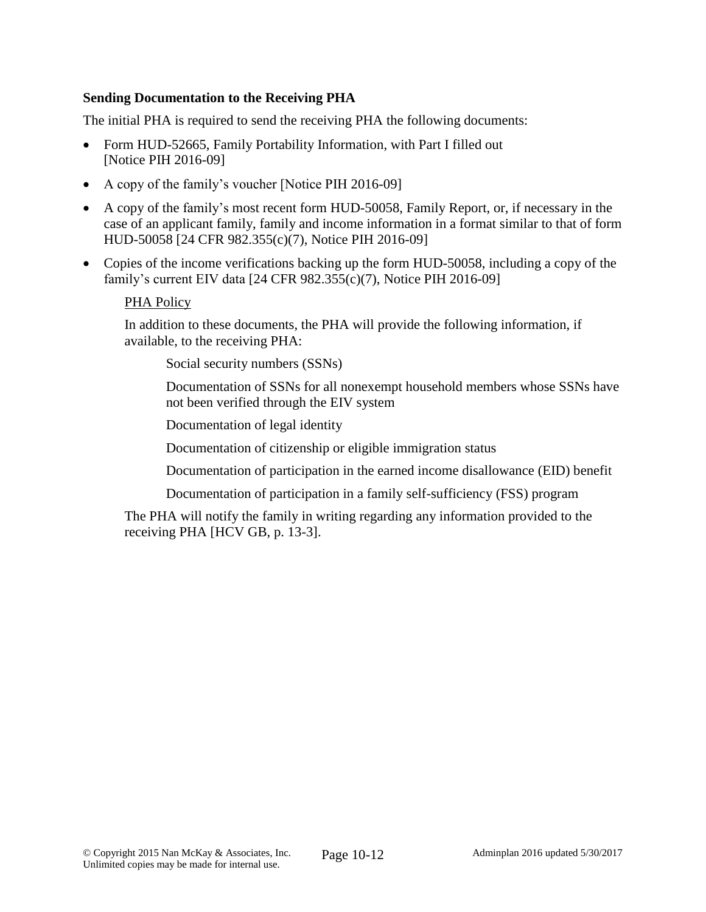# **Sending Documentation to the Receiving PHA**

The initial PHA is required to send the receiving PHA the following documents:

- Form HUD-52665, Family Portability Information, with Part I filled out [Notice PIH 2016-09]
- A copy of the family's voucher [Notice PIH 2016-09]
- A copy of the family's most recent form HUD-50058, Family Report, or, if necessary in the case of an applicant family, family and income information in a format similar to that of form HUD-50058 [24 CFR 982.355(c)(7), Notice PIH 2016-09]
- Copies of the income verifications backing up the form HUD-50058, including a copy of the family's current EIV data [24 CFR 982.355(c)(7), Notice PIH 2016-09]

#### PHA Policy

In addition to these documents, the PHA will provide the following information, if available, to the receiving PHA:

Social security numbers (SSNs)

Documentation of SSNs for all nonexempt household members whose SSNs have not been verified through the EIV system

Documentation of legal identity

Documentation of citizenship or eligible immigration status

Documentation of participation in the earned income disallowance (EID) benefit

Documentation of participation in a family self-sufficiency (FSS) program

The PHA will notify the family in writing regarding any information provided to the receiving PHA [HCV GB, p. 13-3].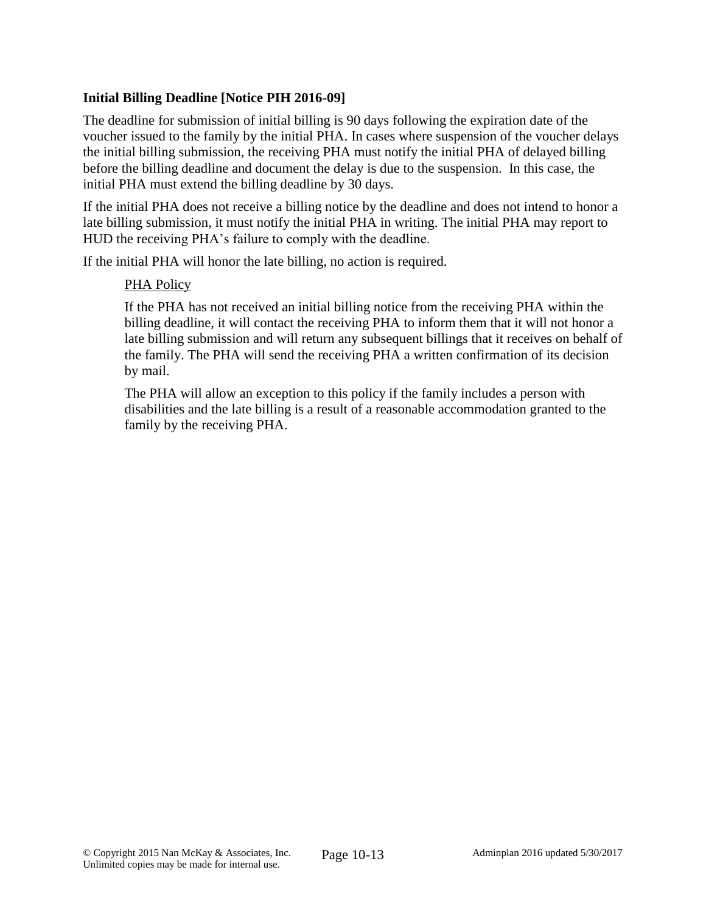# **Initial Billing Deadline [Notice PIH 2016-09]**

The deadline for submission of initial billing is 90 days following the expiration date of the voucher issued to the family by the initial PHA. In cases where suspension of the voucher delays the initial billing submission, the receiving PHA must notify the initial PHA of delayed billing before the billing deadline and document the delay is due to the suspension. In this case, the initial PHA must extend the billing deadline by 30 days.

If the initial PHA does not receive a billing notice by the deadline and does not intend to honor a late billing submission, it must notify the initial PHA in writing. The initial PHA may report to HUD the receiving PHA's failure to comply with the deadline.

If the initial PHA will honor the late billing, no action is required.

# PHA Policy

If the PHA has not received an initial billing notice from the receiving PHA within the billing deadline, it will contact the receiving PHA to inform them that it will not honor a late billing submission and will return any subsequent billings that it receives on behalf of the family. The PHA will send the receiving PHA a written confirmation of its decision by mail.

The PHA will allow an exception to this policy if the family includes a person with disabilities and the late billing is a result of a reasonable accommodation granted to the family by the receiving PHA.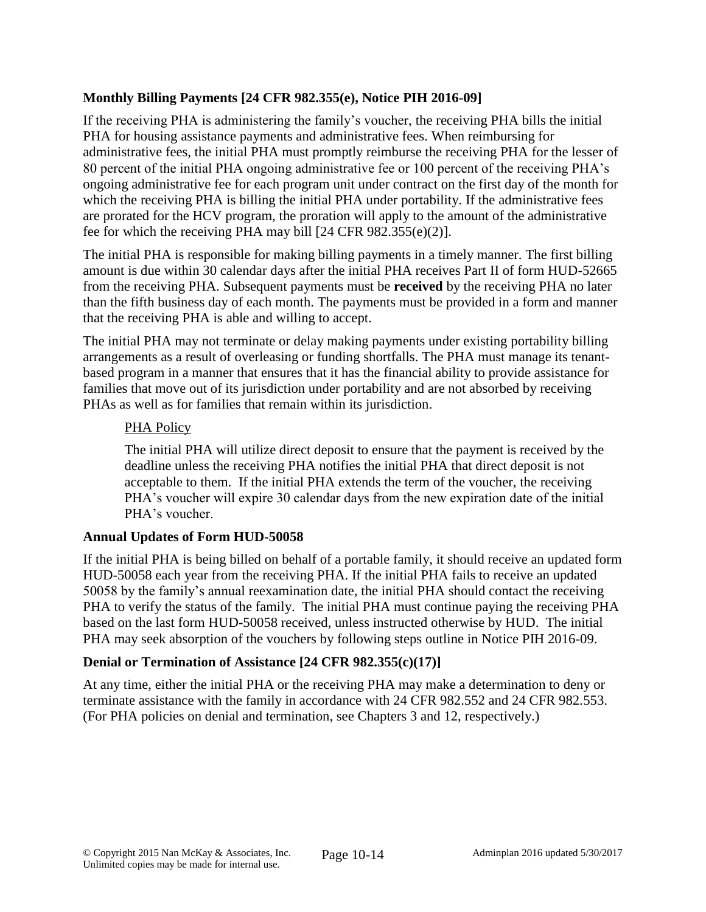# **Monthly Billing Payments [24 CFR 982.355(e), Notice PIH 2016-09]**

If the receiving PHA is administering the family's voucher, the receiving PHA bills the initial PHA for housing assistance payments and administrative fees. When reimbursing for administrative fees, the initial PHA must promptly reimburse the receiving PHA for the lesser of 80 percent of the initial PHA ongoing administrative fee or 100 percent of the receiving PHA's ongoing administrative fee for each program unit under contract on the first day of the month for which the receiving PHA is billing the initial PHA under portability. If the administrative fees are prorated for the HCV program, the proration will apply to the amount of the administrative fee for which the receiving PHA may bill [24 CFR 982.355(e)(2)].

The initial PHA is responsible for making billing payments in a timely manner. The first billing amount is due within 30 calendar days after the initial PHA receives Part II of form HUD-52665 from the receiving PHA. Subsequent payments must be **received** by the receiving PHA no later than the fifth business day of each month. The payments must be provided in a form and manner that the receiving PHA is able and willing to accept.

The initial PHA may not terminate or delay making payments under existing portability billing arrangements as a result of overleasing or funding shortfalls. The PHA must manage its tenantbased program in a manner that ensures that it has the financial ability to provide assistance for families that move out of its jurisdiction under portability and are not absorbed by receiving PHAs as well as for families that remain within its jurisdiction.

# PHA Policy

The initial PHA will utilize direct deposit to ensure that the payment is received by the deadline unless the receiving PHA notifies the initial PHA that direct deposit is not acceptable to them. If the initial PHA extends the term of the voucher, the receiving PHA's voucher will expire 30 calendar days from the new expiration date of the initial PHA's voucher.

# **Annual Updates of Form HUD-50058**

If the initial PHA is being billed on behalf of a portable family, it should receive an updated form HUD-50058 each year from the receiving PHA. If the initial PHA fails to receive an updated 50058 by the family's annual reexamination date, the initial PHA should contact the receiving PHA to verify the status of the family. The initial PHA must continue paying the receiving PHA based on the last form HUD-50058 received, unless instructed otherwise by HUD. The initial PHA may seek absorption of the vouchers by following steps outline in Notice PIH 2016-09.

# **Denial or Termination of Assistance [24 CFR 982.355(c)(17)]**

At any time, either the initial PHA or the receiving PHA may make a determination to deny or terminate assistance with the family in accordance with 24 CFR 982.552 and 24 CFR 982.553. (For PHA policies on denial and termination, see Chapters 3 and 12, respectively.)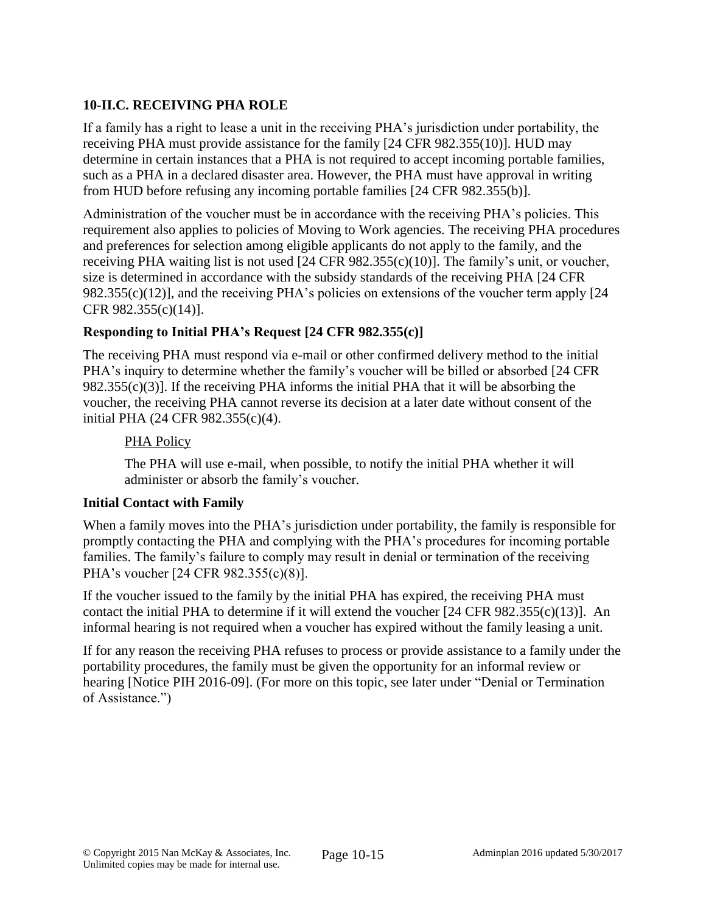# **10-II.C. RECEIVING PHA ROLE**

If a family has a right to lease a unit in the receiving PHA's jurisdiction under portability, the receiving PHA must provide assistance for the family [24 CFR 982.355(10)]. HUD may determine in certain instances that a PHA is not required to accept incoming portable families, such as a PHA in a declared disaster area. However, the PHA must have approval in writing from HUD before refusing any incoming portable families [24 CFR 982.355(b)].

Administration of the voucher must be in accordance with the receiving PHA's policies. This requirement also applies to policies of Moving to Work agencies. The receiving PHA procedures and preferences for selection among eligible applicants do not apply to the family, and the receiving PHA waiting list is not used [24 CFR 982.355(c)(10)]. The family's unit, or voucher, size is determined in accordance with the subsidy standards of the receiving PHA [24 CFR 982.355(c)(12)], and the receiving PHA's policies on extensions of the voucher term apply [24 CFR 982.355(c)(14)].

# **Responding to Initial PHA's Request [24 CFR 982.355(c)]**

The receiving PHA must respond via e-mail or other confirmed delivery method to the initial PHA's inquiry to determine whether the family's voucher will be billed or absorbed [24 CFR 982.355(c)(3)]. If the receiving PHA informs the initial PHA that it will be absorbing the voucher, the receiving PHA cannot reverse its decision at a later date without consent of the initial PHA (24 CFR 982.355(c)(4).

# PHA Policy

The PHA will use e-mail, when possible, to notify the initial PHA whether it will administer or absorb the family's voucher.

# **Initial Contact with Family**

When a family moves into the PHA's jurisdiction under portability, the family is responsible for promptly contacting the PHA and complying with the PHA's procedures for incoming portable families. The family's failure to comply may result in denial or termination of the receiving PHA's voucher [24 CFR 982.355(c)(8)].

If the voucher issued to the family by the initial PHA has expired, the receiving PHA must contact the initial PHA to determine if it will extend the voucher [24 CFR 982.355(c)(13)]. An informal hearing is not required when a voucher has expired without the family leasing a unit.

If for any reason the receiving PHA refuses to process or provide assistance to a family under the portability procedures, the family must be given the opportunity for an informal review or hearing [Notice PIH 2016-09]. (For more on this topic, see later under "Denial or Termination of Assistance.")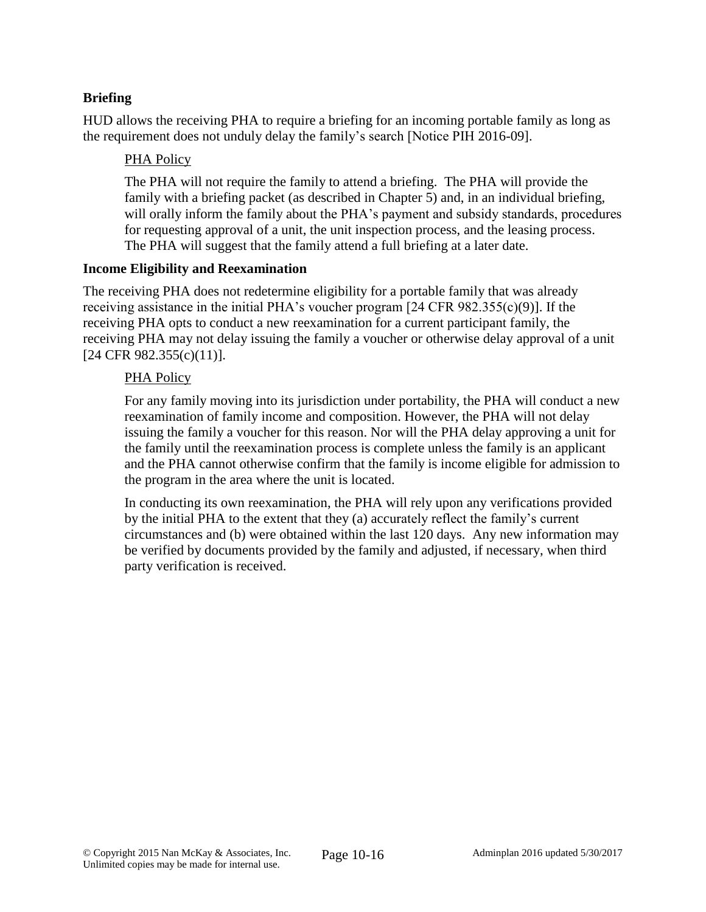# **Briefing**

HUD allows the receiving PHA to require a briefing for an incoming portable family as long as the requirement does not unduly delay the family's search [Notice PIH 2016-09].

### PHA Policy

The PHA will not require the family to attend a briefing. The PHA will provide the family with a briefing packet (as described in Chapter 5) and, in an individual briefing, will orally inform the family about the PHA's payment and subsidy standards, procedures for requesting approval of a unit, the unit inspection process, and the leasing process. The PHA will suggest that the family attend a full briefing at a later date.

#### **Income Eligibility and Reexamination**

The receiving PHA does not redetermine eligibility for a portable family that was already receiving assistance in the initial PHA's voucher program [24 CFR 982.355(c)(9)]. If the receiving PHA opts to conduct a new reexamination for a current participant family, the receiving PHA may not delay issuing the family a voucher or otherwise delay approval of a unit [24 CFR 982.355(c)(11)].

### PHA Policy

For any family moving into its jurisdiction under portability, the PHA will conduct a new reexamination of family income and composition. However, the PHA will not delay issuing the family a voucher for this reason. Nor will the PHA delay approving a unit for the family until the reexamination process is complete unless the family is an applicant and the PHA cannot otherwise confirm that the family is income eligible for admission to the program in the area where the unit is located.

In conducting its own reexamination, the PHA will rely upon any verifications provided by the initial PHA to the extent that they (a) accurately reflect the family's current circumstances and (b) were obtained within the last 120 days. Any new information may be verified by documents provided by the family and adjusted, if necessary, when third party verification is received.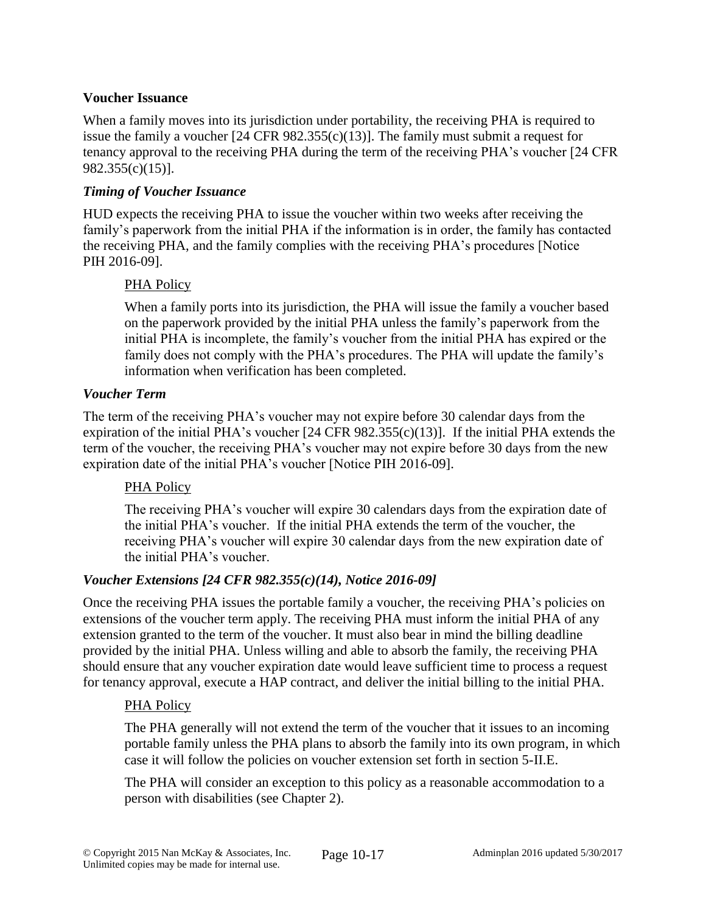## **Voucher Issuance**

When a family moves into its jurisdiction under portability, the receiving PHA is required to issue the family a voucher  $[24 \text{ CFR } 982.355(c)(13)]$ . The family must submit a request for tenancy approval to the receiving PHA during the term of the receiving PHA's voucher [24 CFR 982.355(c)(15)].

### *Timing of Voucher Issuance*

HUD expects the receiving PHA to issue the voucher within two weeks after receiving the family's paperwork from the initial PHA if the information is in order, the family has contacted the receiving PHA, and the family complies with the receiving PHA's procedures [Notice PIH 2016-09].

### PHA Policy

When a family ports into its jurisdiction, the PHA will issue the family a voucher based on the paperwork provided by the initial PHA unless the family's paperwork from the initial PHA is incomplete, the family's voucher from the initial PHA has expired or the family does not comply with the PHA's procedures. The PHA will update the family's information when verification has been completed.

### *Voucher Term*

The term of the receiving PHA's voucher may not expire before 30 calendar days from the expiration of the initial PHA's voucher [24 CFR 982.355(c)(13)]. If the initial PHA extends the term of the voucher, the receiving PHA's voucher may not expire before 30 days from the new expiration date of the initial PHA's voucher [Notice PIH 2016-09].

# PHA Policy

The receiving PHA's voucher will expire 30 calendars days from the expiration date of the initial PHA's voucher. If the initial PHA extends the term of the voucher, the receiving PHA's voucher will expire 30 calendar days from the new expiration date of the initial PHA's voucher.

#### *Voucher Extensions [24 CFR 982.355(c)(14), Notice 2016-09]*

Once the receiving PHA issues the portable family a voucher, the receiving PHA's policies on extensions of the voucher term apply. The receiving PHA must inform the initial PHA of any extension granted to the term of the voucher. It must also bear in mind the billing deadline provided by the initial PHA. Unless willing and able to absorb the family, the receiving PHA should ensure that any voucher expiration date would leave sufficient time to process a request for tenancy approval, execute a HAP contract, and deliver the initial billing to the initial PHA.

#### PHA Policy

The PHA generally will not extend the term of the voucher that it issues to an incoming portable family unless the PHA plans to absorb the family into its own program, in which case it will follow the policies on voucher extension set forth in section 5-II.E.

The PHA will consider an exception to this policy as a reasonable accommodation to a person with disabilities (see Chapter 2).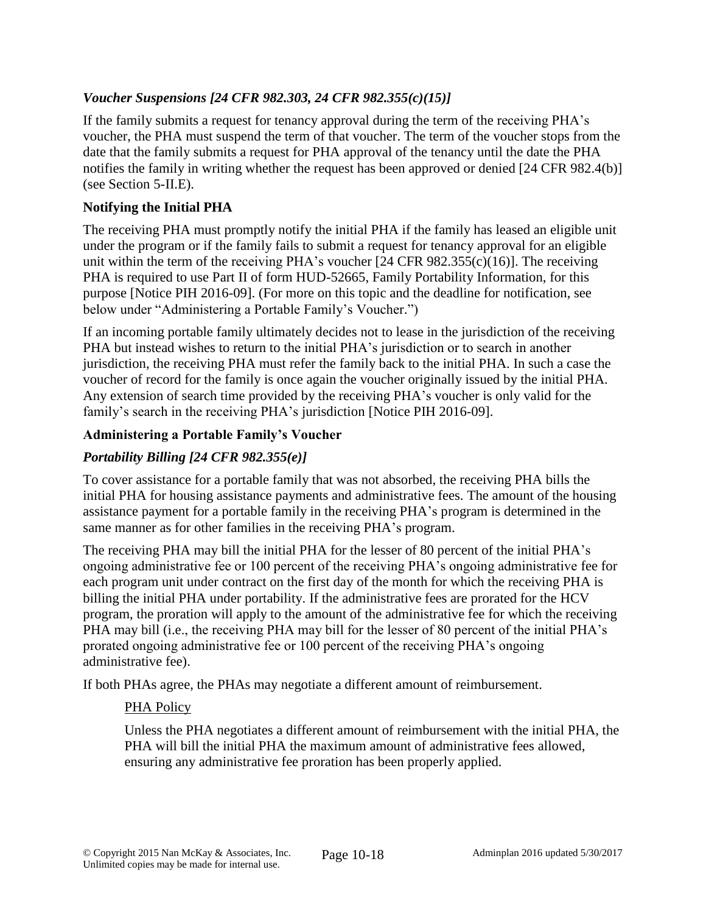# *Voucher Suspensions [24 CFR 982.303, 24 CFR 982.355(c)(15)]*

If the family submits a request for tenancy approval during the term of the receiving PHA's voucher, the PHA must suspend the term of that voucher. The term of the voucher stops from the date that the family submits a request for PHA approval of the tenancy until the date the PHA notifies the family in writing whether the request has been approved or denied [24 CFR 982.4(b)] (see Section 5-II.E).

### **Notifying the Initial PHA**

The receiving PHA must promptly notify the initial PHA if the family has leased an eligible unit under the program or if the family fails to submit a request for tenancy approval for an eligible unit within the term of the receiving PHA's voucher [24 CFR 982.355(c)(16)]. The receiving PHA is required to use Part II of form HUD-52665, Family Portability Information, for this purpose [Notice PIH 2016-09]. (For more on this topic and the deadline for notification, see below under "Administering a Portable Family's Voucher.")

If an incoming portable family ultimately decides not to lease in the jurisdiction of the receiving PHA but instead wishes to return to the initial PHA's jurisdiction or to search in another jurisdiction, the receiving PHA must refer the family back to the initial PHA. In such a case the voucher of record for the family is once again the voucher originally issued by the initial PHA. Any extension of search time provided by the receiving PHA's voucher is only valid for the family's search in the receiving PHA's jurisdiction [Notice PIH 2016-09].

### **Administering a Portable Family's Voucher**

# *Portability Billing [24 CFR 982.355(e)]*

To cover assistance for a portable family that was not absorbed, the receiving PHA bills the initial PHA for housing assistance payments and administrative fees. The amount of the housing assistance payment for a portable family in the receiving PHA's program is determined in the same manner as for other families in the receiving PHA's program.

The receiving PHA may bill the initial PHA for the lesser of 80 percent of the initial PHA's ongoing administrative fee or 100 percent of the receiving PHA's ongoing administrative fee for each program unit under contract on the first day of the month for which the receiving PHA is billing the initial PHA under portability. If the administrative fees are prorated for the HCV program, the proration will apply to the amount of the administrative fee for which the receiving PHA may bill (i.e., the receiving PHA may bill for the lesser of 80 percent of the initial PHA's prorated ongoing administrative fee or 100 percent of the receiving PHA's ongoing administrative fee).

If both PHAs agree, the PHAs may negotiate a different amount of reimbursement.

# PHA Policy

Unless the PHA negotiates a different amount of reimbursement with the initial PHA, the PHA will bill the initial PHA the maximum amount of administrative fees allowed, ensuring any administrative fee proration has been properly applied.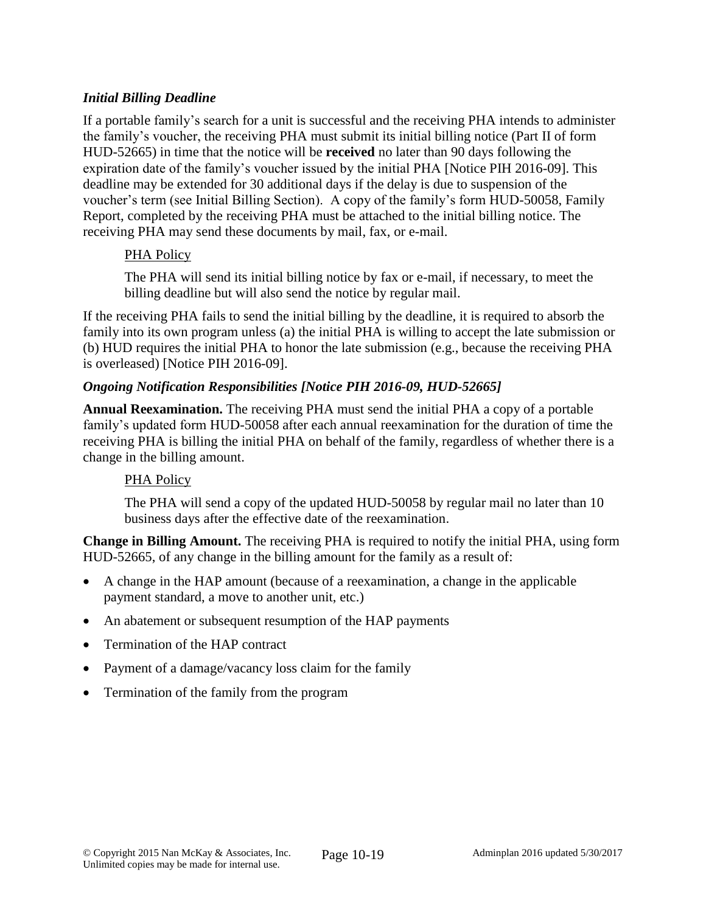# *Initial Billing Deadline*

If a portable family's search for a unit is successful and the receiving PHA intends to administer the family's voucher, the receiving PHA must submit its initial billing notice (Part II of form HUD-52665) in time that the notice will be **received** no later than 90 days following the expiration date of the family's voucher issued by the initial PHA [Notice PIH 2016-09]. This deadline may be extended for 30 additional days if the delay is due to suspension of the voucher's term (see Initial Billing Section). A copy of the family's form HUD-50058, Family Report, completed by the receiving PHA must be attached to the initial billing notice. The receiving PHA may send these documents by mail, fax, or e-mail.

### PHA Policy

The PHA will send its initial billing notice by fax or e-mail, if necessary, to meet the billing deadline but will also send the notice by regular mail.

If the receiving PHA fails to send the initial billing by the deadline, it is required to absorb the family into its own program unless (a) the initial PHA is willing to accept the late submission or (b) HUD requires the initial PHA to honor the late submission (e.g., because the receiving PHA is overleased) [Notice PIH 2016-09].

### *Ongoing Notification Responsibilities [Notice PIH 2016-09, HUD-52665]*

**Annual Reexamination.** The receiving PHA must send the initial PHA a copy of a portable family's updated form HUD-50058 after each annual reexamination for the duration of time the receiving PHA is billing the initial PHA on behalf of the family, regardless of whether there is a change in the billing amount.

# PHA Policy

The PHA will send a copy of the updated HUD-50058 by regular mail no later than 10 business days after the effective date of the reexamination.

**Change in Billing Amount.** The receiving PHA is required to notify the initial PHA, using form HUD-52665, of any change in the billing amount for the family as a result of:

- A change in the HAP amount (because of a reexamination, a change in the applicable payment standard, a move to another unit, etc.)
- An abatement or subsequent resumption of the HAP payments
- Termination of the HAP contract
- Payment of a damage/vacancy loss claim for the family
- Termination of the family from the program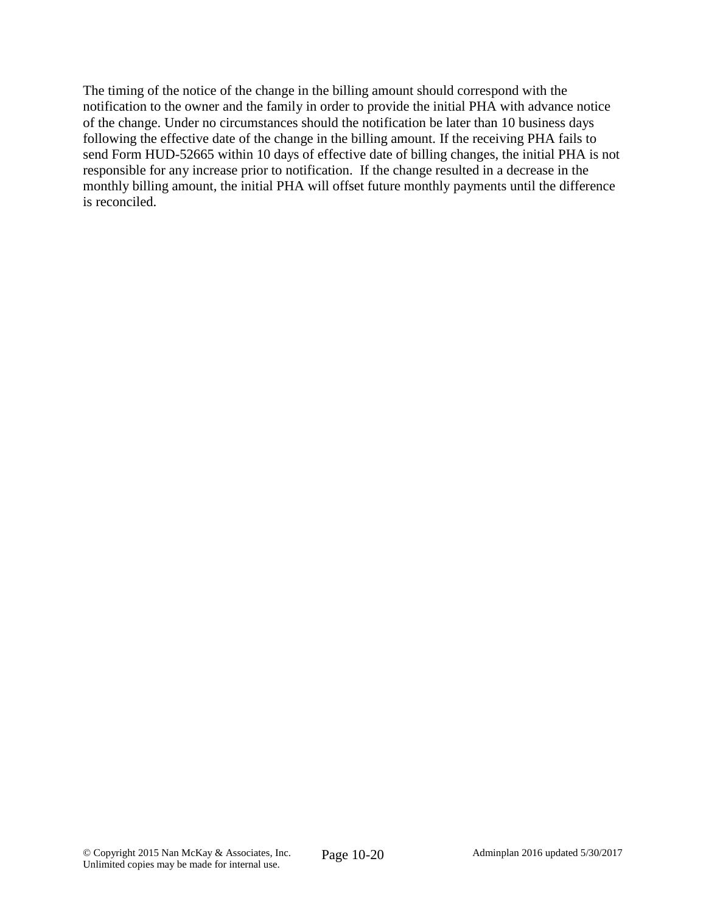The timing of the notice of the change in the billing amount should correspond with the notification to the owner and the family in order to provide the initial PHA with advance notice of the change. Under no circumstances should the notification be later than 10 business days following the effective date of the change in the billing amount. If the receiving PHA fails to send Form HUD-52665 within 10 days of effective date of billing changes, the initial PHA is not responsible for any increase prior to notification. If the change resulted in a decrease in the monthly billing amount, the initial PHA will offset future monthly payments until the difference is reconciled.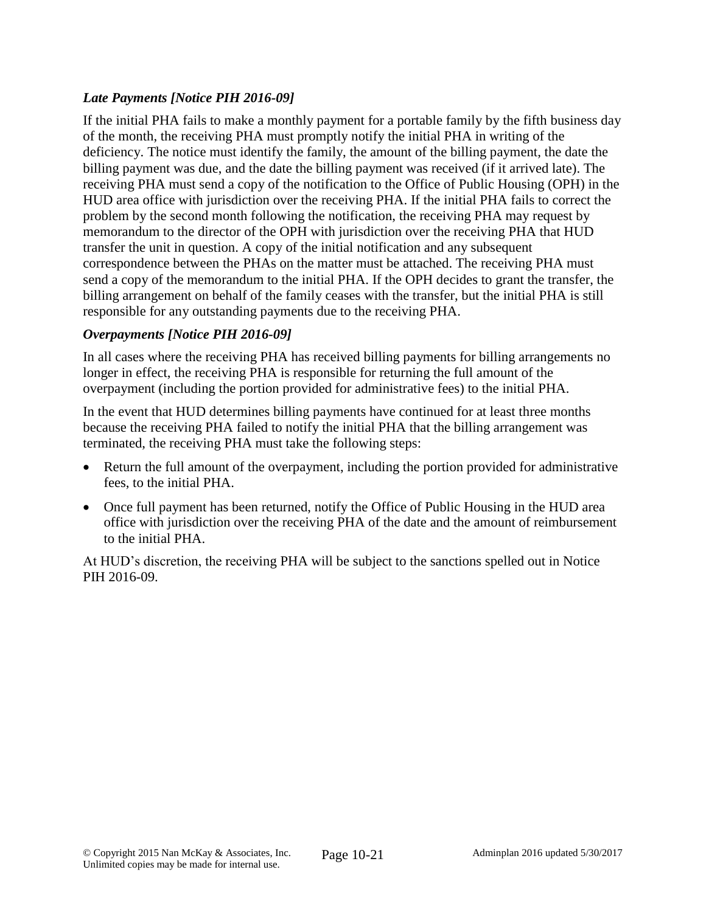# *Late Payments [Notice PIH 2016-09]*

If the initial PHA fails to make a monthly payment for a portable family by the fifth business day of the month, the receiving PHA must promptly notify the initial PHA in writing of the deficiency. The notice must identify the family, the amount of the billing payment, the date the billing payment was due, and the date the billing payment was received (if it arrived late). The receiving PHA must send a copy of the notification to the Office of Public Housing (OPH) in the HUD area office with jurisdiction over the receiving PHA. If the initial PHA fails to correct the problem by the second month following the notification, the receiving PHA may request by memorandum to the director of the OPH with jurisdiction over the receiving PHA that HUD transfer the unit in question. A copy of the initial notification and any subsequent correspondence between the PHAs on the matter must be attached. The receiving PHA must send a copy of the memorandum to the initial PHA. If the OPH decides to grant the transfer, the billing arrangement on behalf of the family ceases with the transfer, but the initial PHA is still responsible for any outstanding payments due to the receiving PHA.

# *Overpayments [Notice PIH 2016-09]*

In all cases where the receiving PHA has received billing payments for billing arrangements no longer in effect, the receiving PHA is responsible for returning the full amount of the overpayment (including the portion provided for administrative fees) to the initial PHA.

In the event that HUD determines billing payments have continued for at least three months because the receiving PHA failed to notify the initial PHA that the billing arrangement was terminated, the receiving PHA must take the following steps:

- Return the full amount of the overpayment, including the portion provided for administrative fees, to the initial PHA.
- Once full payment has been returned, notify the Office of Public Housing in the HUD area office with jurisdiction over the receiving PHA of the date and the amount of reimbursement to the initial PHA.

At HUD's discretion, the receiving PHA will be subject to the sanctions spelled out in Notice PIH 2016-09.